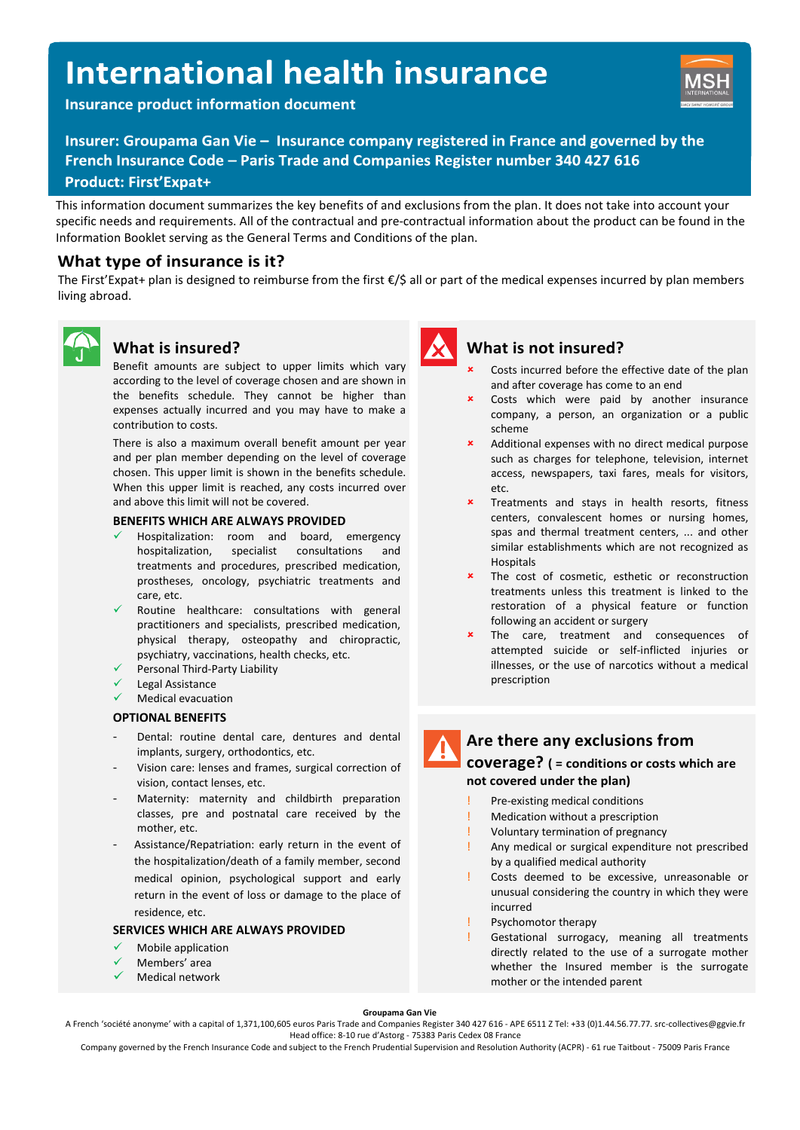# **International health insurance**

**Insurance product information document** 



Insurer: Groupama Gan Vie - Insurance company registered in France and governed by the French Insurance Code - Paris Trade and Companies Register number 340 427 616 **Product: First'Expat+** 

This information document summarizes the key benefits of and exclusions from the plan. It does not take into account your specific needs and requirements. All of the contractual and pre-contractual information about the product can be found in the Information Booklet serving as the General Terms and Conditions of the plan.

## **What type of insurance is it?**

The First'Expat+ plan is designed to reimburse from the first  $\epsilon/5$  all or part of the medical expenses incurred by plan members living abroad.



## **What is insured?**

Benefit amounts are subject to upper limits which vary according to the level of coverage chosen and are shown in the benefits schedule. They cannot be higher than expenses actually incurred and you may have to make a contribution to costs.

There is also a maximum overall benefit amount per year and per plan member depending on the level of coverage chosen. This upper limit is shown in the benefits schedule. When this upper limit is reached, any costs incurred over and above this limit will not be covered.

#### **BENEFITS WHICH ARE ALWAYS PROVIDED**

- Hospitalization: room and board, emergency hospitalization, specialist consultations and treatments and procedures, prescribed medication, prostheses, oncology, psychiatric treatments and care, etc.
- Routine healthcare: consultations with general practitioners and specialists, prescribed medication, physical therapy, osteopathy and chiropractic, psychiatry, vaccinations, health checks, etc.
- Personal Third-Party Liability
- Legal Assistance
- Medical evacuation

#### **OPTIONAL BENEFITS**

- Dental: routine dental care, dentures and dental implants, surgery, orthodontics, etc.
- Vision care: lenses and frames, surgical correction of vision, contact lenses, etc.
- Maternity: maternity and childbirth preparation classes, pre and postnatal care received by the mother, etc.
- Assistance/Repatriation: early return in the event of the hospitalization/death of a family member, second medical opinion, psychological support and early return in the event of loss or damage to the place of residence, etc.

#### **SERVICES WHICH ARE ALWAYS PROVIDED**

- Mobile application
- Members' area
- Medical network



### **What is not insured?**

- Costs incurred before the effective date of the plan and after coverage has come to an end
- Costs which were paid by another insurance company, a person, an organization or a public scheme
- Additional expenses with no direct medical purpose such as charges for telephone, television, internet access, newspapers, taxi fares, meals for visitors, etc.
- Treatments and stays in health resorts, fitness centers, convalescent homes or nursing homes, spas and thermal treatment centers, ... and other similar establishments which are not recognized as Hospitals
- The cost of cosmetic, esthetic or reconstruction treatments unless this treatment is linked to the restoration of a physical feature or function following an accident or surgery
- The care, treatment and consequences of attempted suicide or self-inflicted injuries or illnesses, or the use of narcotics without a medical prescription

## **Are there any exclusions from**

#### **coverage? ( = conditions or costs which are not covered under the plan)**

- Pre-existing medical conditions
- **Medication without a prescription**
- Voluntary termination of pregnancy
- Any medical or surgical expenditure not prescribed by a qualified medical authority
- Costs deemed to be excessive, unreasonable or unusual considering the country in which they were incurred
- Psychomotor therapy
- Gestational surrogacy, meaning all treatments directly related to the use of a surrogate mother whether the Insured member is the surrogate mother or the intended parent

**Groupama Gan Vie**

A French 'société anonyme' with a capital of 1,371,100,605 euros Paris Trade and Companies Register 340 427 616 - APE 6511 Z Tel: +33 (0)1.44.56.77.77. src-collectives@ggvie.fr Head office: 8-10 rue d'Astorg - 75383 Paris Cedex 08 France

Company governed by the French Insurance Code and subject to the French Prudential Supervision and Resolution Authority (ACPR) - 61 rue Taitbout - 75009 Paris France